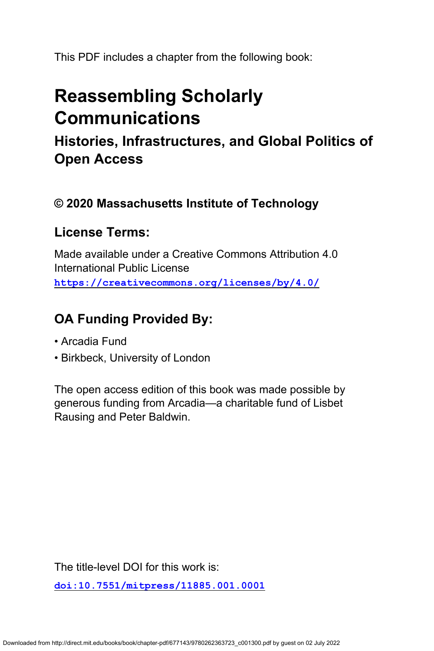This PDF includes a chapter from the following book:

# **Reassembling Scholarly Communications**

**Histories, Infrastructures, and Global Politics of Open Access**

## **© 2020 Massachusetts Institute of Technology**

## **License Terms:**

Made available under a Creative Commons Attribution 4.0 International Public License **<https://creativecommons.org/licenses/by/4.0/>**

# **OA Funding Provided By:**

- Arcadia Fund
- Birkbeck, University of London

The open access edition of this book was made possible by generous funding from Arcadia—a charitable fund of Lisbet Rausing and Peter Baldwin.

The title-level DOI for this work is:

**[doi:10.7551/mitpress/11885.001.0001](https://doi.org/10.7551/mitpress/11885.001.0001)**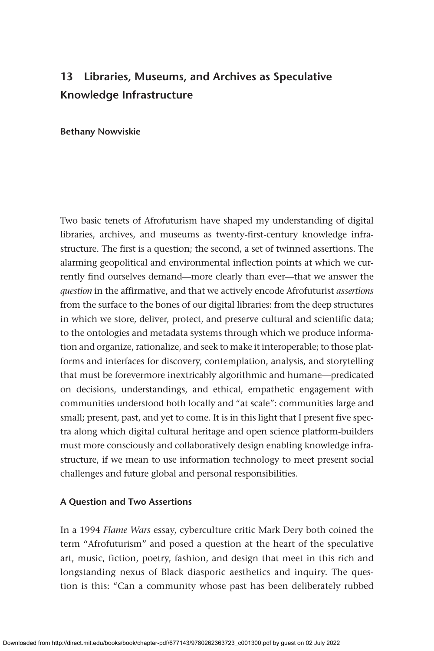# **13 Libraries, Museums, and Archives as Speculative Knowledge Infrastructure**

### **Bethany Nowviskie**

Two basic tenets of Afrofuturism have shaped my understanding of digital libraries, archives, and museums as twenty-first-century knowledge infrastructure. The first is a question; the second, a set of twinned assertions. The alarming geopolitical and environmental inflection points at which we currently find ourselves demand—more clearly than ever—that we answer the *question* in the affirmative, and that we actively encode Afrofuturist *assertions* from the surface to the bones of our digital libraries: from the deep structures in which we store, deliver, protect, and preserve cultural and scientific data; to the ontologies and metadata systems through which we produce information and organize, rationalize, and seek to make it interoperable; to those platforms and interfaces for discovery, contemplation, analysis, and storytelling that must be forevermore inextricably algorithmic and humane—predicated on decisions, understandings, and ethical, empathetic engagement with communities understood both locally and "at scale": communities large and small; present, past, and yet to come. It is in this light that I present five spectra along which digital cultural heritage and open science platform-builders must more consciously and collaboratively design enabling knowledge infrastructure, if we mean to use information technology to meet present social challenges and future global and personal responsibilities.

### **A Question and Two Assertions**

In a 1994 *Flame Wars* essay, cyberculture critic Mark Dery both coined the term "Afrofuturism" and posed a question at the heart of the speculative art, music, fiction, poetry, fashion, and design that meet in this rich and longstanding nexus of Black diasporic aesthetics and inquiry. The question is this: "Can a community whose past has been deliberately rubbed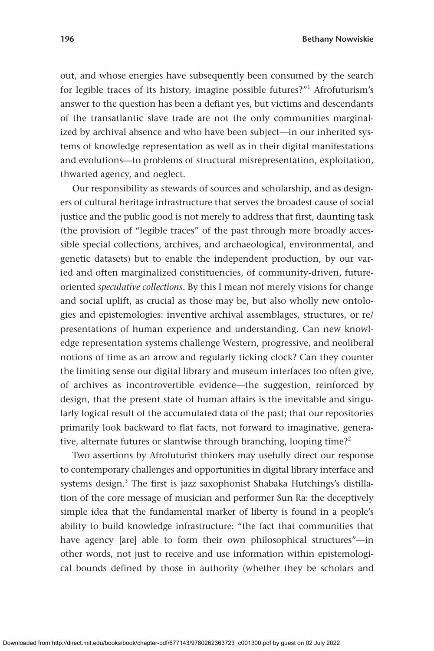out, and whose energies have subsequently been consumed by the search for legible traces of its history, imagine possible futures?"<sup>1</sup> Afrofuturism's answer to the question has been a defiant yes, but victims and descendants of the transatlantic slave trade are not the only communities marginalized by archival absence and who have been subject—in our inherited systems of knowledge representation as well as in their digital manifestations and evolutions—to problems of structural misrepresentation, exploitation, thwarted agency, and neglect.

Our responsibility as stewards of sources and scholarship, and as designers of cultural heritage infrastructure that serves the broadest cause of social justice and the public good is not merely to address that first, daunting task (the provision of "legible traces" of the past through more broadly accessible special collections, archives, and archaeological, environmental, and genetic datasets) but to enable the independent production, by our varied and often marginalized constituencies, of community-driven, futureoriented *speculative collections*. By this I mean not merely visions for change and social uplift, as crucial as those may be, but also wholly new ontologies and epistemologies: inventive archival assemblages, structures, or re/ presentations of human experience and understanding. Can new knowledge representation systems challenge Western, progressive, and neoliberal notions of time as an arrow and regularly ticking clock? Can they counter the limiting sense our digital library and museum interfaces too often give, of archives as incontrovertible evidence—the suggestion, reinforced by design, that the present state of human affairs is the inevitable and singularly logical result of the accumulated data of the past; that our repositories primarily look backward to flat facts, not forward to imaginative, generative, alternate futures or slantwise through branching, looping time?<sup>2</sup>

Two assertions by Afrofuturist thinkers may usefully direct our response to contemporary challenges and opportunities in digital library interface and systems design.<sup>3</sup> The first is jazz saxophonist Shabaka Hutchings's distillation of the core message of musician and performer Sun Ra: the deceptively simple idea that the fundamental marker of liberty is found in a people's ability to build knowledge infrastructure: "the fact that communities that have agency [are] able to form their own philosophical structures"—in other words, not just to receive and use information within epistemological bounds defined by those in authority (whether they be scholars and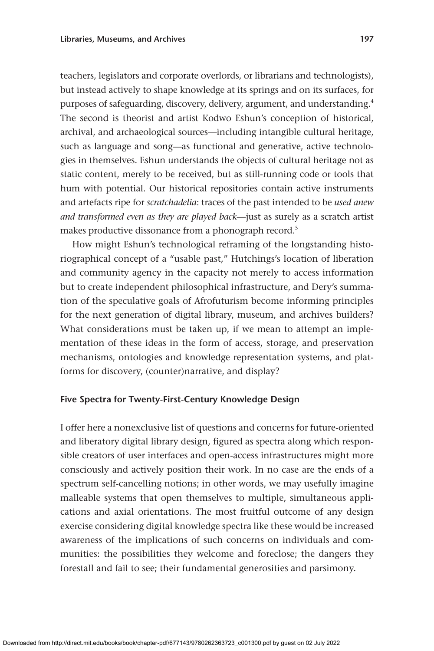teachers, legislators and corporate overlords, or librarians and technologists), but instead actively to shape knowledge at its springs and on its surfaces, for purposes of safeguarding, discovery, delivery, argument, and understanding.<sup>4</sup> The second is theorist and artist Kodwo Eshun's conception of historical, archival, and archaeological sources—including intangible cultural heritage, such as language and song—as functional and generative, active technologies in themselves. Eshun understands the objects of cultural heritage not as static content, merely to be received, but as still-running code or tools that hum with potential. Our historical repositories contain active instruments and artefacts ripe for *scratchadelia*: traces of the past intended to be *used anew and transformed even as they are played back*—just as surely as a scratch artist makes productive dissonance from a phonograph record.<sup>5</sup>

How might Eshun's technological reframing of the longstanding historiographical concept of a "usable past," Hutchings's location of liberation and community agency in the capacity not merely to access information but to create independent philosophical infrastructure, and Dery's summation of the speculative goals of Afrofuturism become informing principles for the next generation of digital library, museum, and archives builders? What considerations must be taken up, if we mean to attempt an implementation of these ideas in the form of access, storage, and preservation mechanisms, ontologies and knowledge representation systems, and platforms for discovery, (counter)narrative, and display?

### **Five Spectra for Twenty-First-Century Knowledge Design**

I offer here a nonexclusive list of questions and concerns for future-oriented and liberatory digital library design, figured as spectra along which responsible creators of user interfaces and open-access infrastructures might more consciously and actively position their work. In no case are the ends of a spectrum self-cancelling notions; in other words, we may usefully imagine malleable systems that open themselves to multiple, simultaneous applications and axial orientations. The most fruitful outcome of any design exercise considering digital knowledge spectra like these would be increased awareness of the implications of such concerns on individuals and communities: the possibilities they welcome and foreclose; the dangers they forestall and fail to see; their fundamental generosities and parsimony.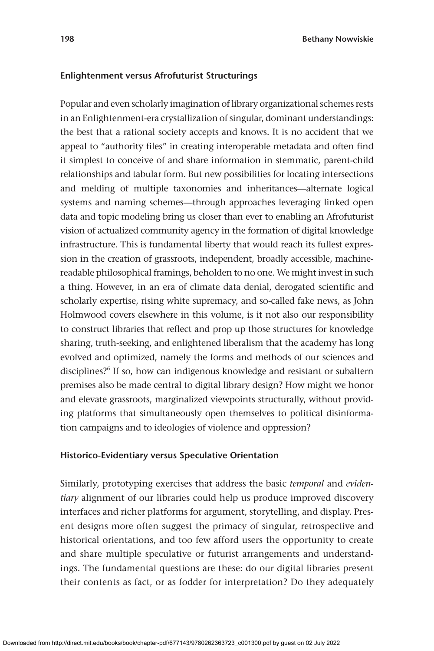#### **Enlightenment versus Afrofuturist Structurings**

Popular and even scholarly imagination of library organizational schemes rests in an Enlightenment-era crystallization of singular, dominant understandings: the best that a rational society accepts and knows. It is no accident that we appeal to "authority files" in creating interoperable metadata and often find it simplest to conceive of and share information in stemmatic, parent-child relationships and tabular form. But new possibilities for locating intersections and melding of multiple taxonomies and inheritances—alternate logical systems and naming schemes—through approaches leveraging linked open data and topic modeling bring us closer than ever to enabling an Afrofuturist vision of actualized community agency in the formation of digital knowledge infrastructure. This is fundamental liberty that would reach its fullest expression in the creation of grassroots, independent, broadly accessible, machinereadable philosophical framings, beholden to no one. We might invest in such a thing. However, in an era of climate data denial, derogated scientific and scholarly expertise, rising white supremacy, and so-called fake news, as John Holmwood covers elsewhere in this volume, is it not also our responsibility to construct libraries that reflect and prop up those structures for knowledge sharing, truth-seeking, and enlightened liberalism that the academy has long evolved and optimized, namely the forms and methods of our sciences and disciplines?<sup>6</sup> If so, how can indigenous knowledge and resistant or subaltern premises also be made central to digital library design? How might we honor and elevate grassroots, marginalized viewpoints structurally, without providing platforms that simultaneously open themselves to political disinformation campaigns and to ideologies of violence and oppression?

#### **Historico-Evidentiary versus Speculative Orientation**

Similarly, prototyping exercises that address the basic *temporal* and *evidentiary* alignment of our libraries could help us produce improved discovery interfaces and richer platforms for argument, storytelling, and display. Present designs more often suggest the primacy of singular, retrospective and historical orientations, and too few afford users the opportunity to create and share multiple speculative or futurist arrangements and understandings. The fundamental questions are these: do our digital libraries present their contents as fact, or as fodder for interpretation? Do they adequately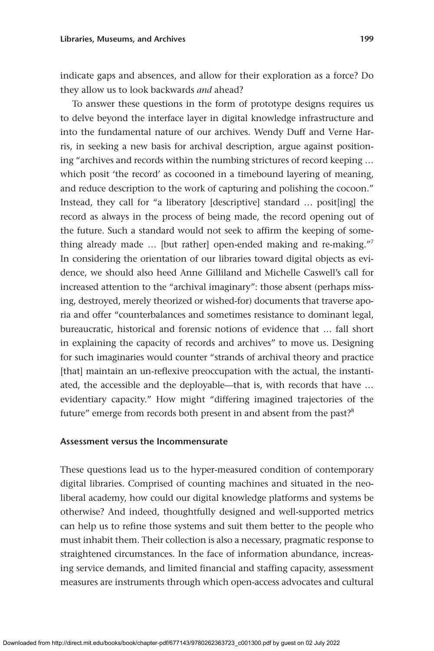indicate gaps and absences, and allow for their exploration as a force? Do they allow us to look backwards *and* ahead?

To answer these questions in the form of prototype designs requires us to delve beyond the interface layer in digital knowledge infrastructure and into the fundamental nature of our archives. Wendy Duff and Verne Harris, in seeking a new basis for archival description, argue against positioning "archives and records within the numbing strictures of record keeping … which posit 'the record' as cocooned in a timebound layering of meaning, and reduce description to the work of capturing and polishing the cocoon." Instead, they call for "a liberatory [descriptive] standard … posit[ing] the record as always in the process of being made, the record opening out of the future. Such a standard would not seek to affirm the keeping of something already made  $\ldots$  [but rather] open-ended making and re-making." In considering the orientation of our libraries toward digital objects as evidence, we should also heed Anne Gilliland and Michelle Caswell's call for increased attention to the "archival imaginary": those absent (perhaps missing, destroyed, merely theorized or wished-for) documents that traverse aporia and offer "counterbalances and sometimes resistance to dominant legal, bureaucratic, historical and forensic notions of evidence that … fall short in explaining the capacity of records and archives" to move us. Designing for such imaginaries would counter "strands of archival theory and practice [that] maintain an un-reflexive preoccupation with the actual, the instantiated, the accessible and the deployable—that is, with records that have … evidentiary capacity." How might "differing imagined trajectories of the future" emerge from records both present in and absent from the past?<sup>8</sup>

### **Assessment versus the Incommensurate**

These questions lead us to the hyper-measured condition of contemporary digital libraries. Comprised of counting machines and situated in the neoliberal academy, how could our digital knowledge platforms and systems be otherwise? And indeed, thoughtfully designed and well-supported metrics can help us to refine those systems and suit them better to the people who must inhabit them. Their collection is also a necessary, pragmatic response to straightened circumstances. In the face of information abundance, increasing service demands, and limited financial and staffing capacity, assessment measures are instruments through which open-access advocates and cultural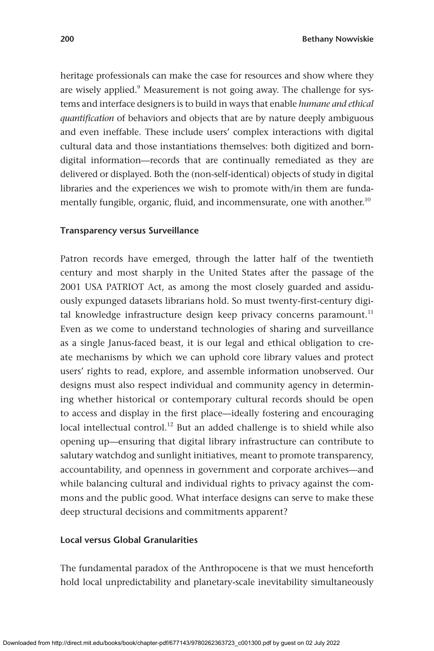heritage professionals can make the case for resources and show where they are wisely applied.<sup>9</sup> Measurement is not going away. The challenge for systems and interface designers is to build in ways that enable *humane and ethical quantification* of behaviors and objects that are by nature deeply ambiguous and even ineffable. These include users' complex interactions with digital cultural data and those instantiations themselves: both digitized and borndigital information—records that are continually remediated as they are delivered or displayed. Both the (non-self-identical) objects of study in digital libraries and the experiences we wish to promote with/in them are fundamentally fungible, organic, fluid, and incommensurate, one with another.<sup>10</sup>

### **Transparency versus Surveillance**

Patron records have emerged, through the latter half of the twentieth century and most sharply in the United States after the passage of the 2001 USA PATRIOT Act, as among the most closely guarded and assiduously expunged datasets librarians hold. So must twenty-first-century digital knowledge infrastructure design keep privacy concerns paramount.<sup>11</sup> Even as we come to understand technologies of sharing and surveillance as a single Janus-faced beast, it is our legal and ethical obligation to create mechanisms by which we can uphold core library values and protect users' rights to read, explore, and assemble information unobserved. Our designs must also respect individual and community agency in determining whether historical or contemporary cultural records should be open to access and display in the first place—ideally fostering and encouraging local intellectual control.<sup>12</sup> But an added challenge is to shield while also opening up—ensuring that digital library infrastructure can contribute to salutary watchdog and sunlight initiatives, meant to promote transparency, accountability, and openness in government and corporate archives—and while balancing cultural and individual rights to privacy against the commons and the public good. What interface designs can serve to make these deep structural decisions and commitments apparent?

### **Local versus Global Granularities**

The fundamental paradox of the Anthropocene is that we must henceforth hold local unpredictability and planetary-scale inevitability simultaneously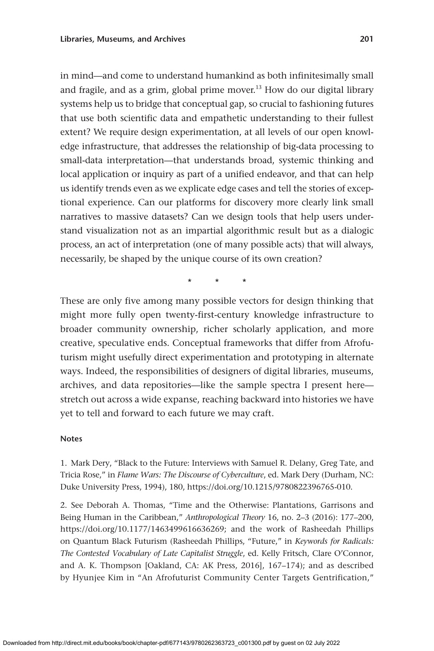in mind—and come to understand humankind as both infinitesimally small and fragile, and as a grim, global prime mover.<sup>13</sup> How do our digital library systems help us to bridge that conceptual gap, so crucial to fashioning futures that use both scientific data and empathetic understanding to their fullest extent? We require design experimentation, at all levels of our open knowledge infrastructure, that addresses the relationship of big-data processing to small-data interpretation—that understands broad, systemic thinking and local application or inquiry as part of a unified endeavor, and that can help us identify trends even as we explicate edge cases and tell the stories of exceptional experience. Can our platforms for discovery more clearly link small narratives to massive datasets? Can we design tools that help users understand visualization not as an impartial algorithmic result but as a dialogic process, an act of interpretation (one of many possible acts) that will always, necessarily, be shaped by the unique course of its own creation?

\*\*\*

These are only five among many possible vectors for design thinking that might more fully open twenty-first-century knowledge infrastructure to broader community ownership, richer scholarly application, and more creative, speculative ends. Conceptual frameworks that differ from Afrofuturism might usefully direct experimentation and prototyping in alternate ways. Indeed, the responsibilities of designers of digital libraries, museums, archives, and data repositories—like the sample spectra I present here stretch out across a wide expanse, reaching backward into histories we have yet to tell and forward to each future we may craft.

#### **Notes**

1. Mark Dery, "Black to the Future: Interviews with Samuel R. Delany, Greg Tate, and Tricia Rose," in *Flame Wars: The Discourse of Cyberculture*, ed. Mark Dery (Durham, NC: Duke University Press, 1994), 180, [https://doi.org/10.1215/9780822396765-010.](https://doi.org/10.1215/9780822396765-010)

2. See Deborah A. Thomas, "Time and the Otherwise: Plantations, Garrisons and Being Human in the Caribbean," *Anthropological Theory* 16, no. 2–3 (2016): 177–200, <https://doi.org/10.1177/1463499616636269>; and the work of Rasheedah Phillips on Quantum Black Futurism (Rasheedah Phillips, "Future," in *Keywords for Radicals: The Contested Vocabulary of Late Capitalist Struggle*, ed. Kelly Fritsch, Clare O'Connor, and A. K. Thompson [Oakland, CA: AK Press, 2016], 167–174); and as described by Hyunjee Kim in "An Afrofuturist Community Center Targets Gentrification,"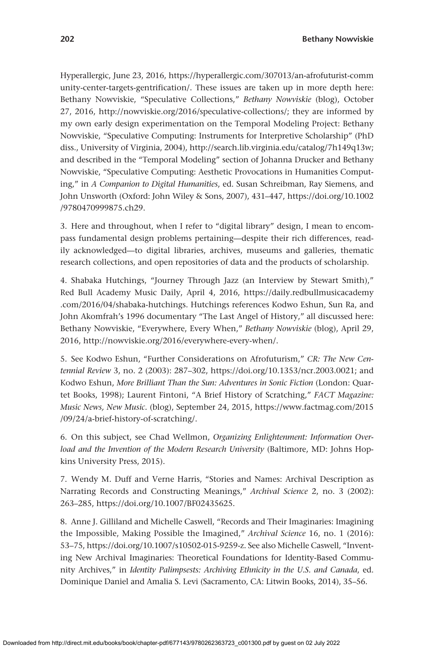Hyperallergic, June 23, 2016, [https://hyperallergic.com/307013/an-afrofuturist-comm](https://hyperallergic.com/307013/an-afrofuturist-community-center-targets-gentrification/) [unity-center-targets-gentrification/.](https://hyperallergic.com/307013/an-afrofuturist-community-center-targets-gentrification/) These issues are taken up in more depth here: Bethany Nowviskie, "Speculative Collections," *Bethany Nowviskie* (blog), October 27, 2016, [http://nowviskie.org/2016/speculative-collections/;](http://nowviskie.org/2016/speculative-collections/) they are informed by my own early design experimentation on the Temporal Modeling Project: Bethany Nowviskie, "Speculative Computing: Instruments for Interpretive Scholarship" (PhD diss., University of Virginia, 2004), [http://search.lib.virginia.edu/catalog/7h149q13w;](http://search.lib.virginia.edu/catalog/7h149q13w) and described in the "Temporal Modeling" section of Johanna Drucker and Bethany Nowviskie, "Speculative Computing: Aesthetic Provocations in Humanities Computing," in *A Companion to Digital Humanities*, ed. Susan Schreibman, Ray Siemens, and John Unsworth (Oxford: John Wiley & Sons, 2007), 431–447, [https://doi.org/10.1002](https://doi.org/10.1002/9780470999875.ch29) [/9780470999875.ch29](https://doi.org/10.1002/9780470999875.ch29).

3. Here and throughout, when I refer to "digital library" design, I mean to encompass fundamental design problems pertaining—despite their rich differences, readily acknowledged—to digital libraries, archives, museums and galleries, thematic research collections, and open repositories of data and the products of scholarship.

4. Shabaka Hutchings, "Journey Through Jazz (an Interview by Stewart Smith)," Red Bull Academy Music Daily, April 4, 2016, [https://daily.redbullmusicacademy](https://daily.redbullmusicacademy.com/2016/04/shabaka-hutchings) [.com/2016/04/shabaka-hutchings.](https://daily.redbullmusicacademy.com/2016/04/shabaka-hutchings) Hutchings references Kodwo Eshun, Sun Ra, and John Akomfrah's 1996 documentary "The Last Angel of History," all discussed here: Bethany Nowviskie, "Everywhere, Every When," *Bethany Nowviskie* (blog), April 29, 2016, [http://nowviskie.org/2016/everywhere-every-when/.](http://nowviskie.org/2016/everywhere-every-when/)

5. See Kodwo Eshun, "Further Considerations on Afrofuturism," *CR: The New Centennial Review* 3, no. 2 (2003): 287–302, [https://doi.org/10.1353/ncr.2003.0021;](https://doi.org/10.1353/ncr.2003.0021) and Kodwo Eshun, *More Brilliant Than the Sun: Adventures in Sonic Fiction* (London: Quartet Books, 1998); Laurent Fintoni, "A Brief History of Scratching," *FACT Magazine: Music News, New Music.* (blog), September 24, 2015, [https://www.factmag.com/2015](https://www.factmag.com/2015/09/24/a-brief-history-of-scratching/) [/09/24/a-brief-history-of-scratching/](https://www.factmag.com/2015/09/24/a-brief-history-of-scratching/).

6. On this subject, see Chad Wellmon, *Organizing Enlightenment: Information Overload and the Invention of the Modern Research University* (Baltimore, MD: Johns Hopkins University Press, 2015).

7. Wendy M. Duff and Verne Harris, "Stories and Names: Archival Description as Narrating Records and Constructing Meanings," *Archival Science* 2, no. 3 (2002): 263–285, [https://doi.org/10.1007/BF02435625.](https://doi.org/10.1007/BF02435625)

8. Anne J. Gilliland and Michelle Caswell, "Records and Their Imaginaries: Imagining the Impossible, Making Possible the Imagined," *Archival Science* 16, no. 1 (2016): 53–75, [https://doi.org/10.1007/s10502-015-9259-z.](https://doi.org/10.1007/s10502-015-9259-z) See also Michelle Caswell, "Inventing New Archival Imaginaries: Theoretical Foundations for Identity-Based Community Archives," in *Identity Palimpsests: Archiving Ethnicity in the U.S. and Canada*, ed. Dominique Daniel and Amalia S. Levi (Sacramento, CA: Litwin Books, 2014), 35–56.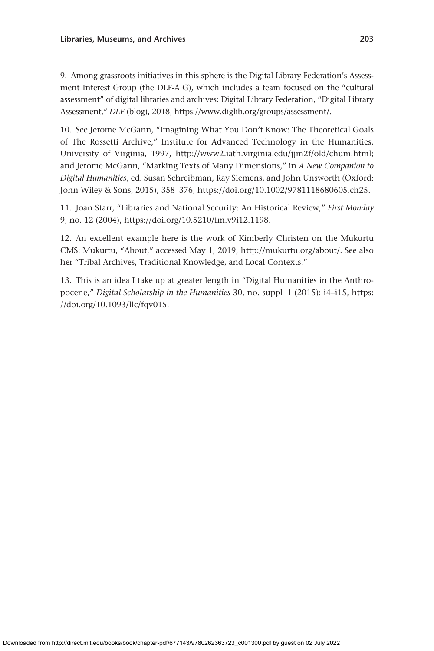9. Among grassroots initiatives in this sphere is the Digital Library Federation's Assessment Interest Group (the DLF-AIG), which includes a team focused on the "cultural assessment" of digital libraries and archives: Digital Library Federation, "Digital Library Assessment," *DLF* (blog), 2018, [https://www.diglib.org/groups/assessment/.](https://www.diglib.org/groups/assessment/)

10. See Jerome McGann, "Imagining What You Don't Know: The Theoretical Goals of The Rossetti Archive," Institute for Advanced Technology in the Humanities, University of Virginia, 1997, [http://www2.iath.virginia.edu/jjm2f/old/chum.html;](http://www2.iath.virginia.edu/jjm2f/old/chum.html) and Jerome McGann, "Marking Texts of Many Dimensions," in *A New Companion to Digital Humanities*, ed. Susan Schreibman, Ray Siemens, and John Unsworth (Oxford: John Wiley & Sons, 2015), 358–376,<https://doi.org/10.1002/9781118680605.ch25>.

11. Joan Starr, "Libraries and National Security: An Historical Review," *First Monday* 9, no. 12 (2004), <https://doi.org/10.5210/fm.v9i12.1198>.

12. An excellent example here is the work of Kimberly Christen on the Mukurtu CMS: Mukurtu, "About," accessed May 1, 2019, <http://mukurtu.org/about/>. See also her "Tribal Archives, Traditional Knowledge, and Local Contexts."

13. This is an idea I take up at greater length in "Digital Humanities in the Anthropocene," *Digital Scholarship in the Humanities* 30, no. suppl\_1 (2015): i4–i15, [https:](https://doi.org/10.1093/llc/fqv015) [//doi.org/10.1093/llc/fqv015](https://doi.org/10.1093/llc/fqv015).